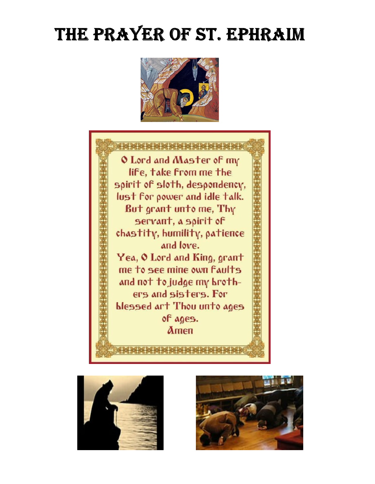# THE PRAYER OF ST. EPHRAIM







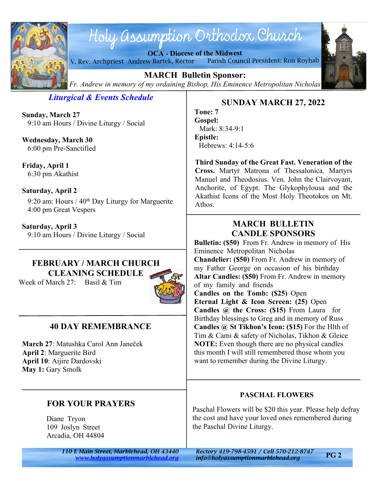

# Holy assumption Orthodox Church

**OCA - Diocese of the Midwest**





**MARCH Bulletin Sponsor:** *Fr. Andrew in memory of my ordaining Bishop, His Eminence Metropolitan Nicholas*

*Liturgical & Events Schedule*

**Sunday, March 27** 9:10 am Hours / Divine Liturgy / Social

**Wednesday, March 30** 6:00 pm Pre-Sanctified

**Friday, April 1** 6:30 pm Akathist

#### **Saturday, April 2**

9:20 am: Hours /  $40<sup>th</sup>$  Day Liturgy for Marguerite 4:00 pm Great Vespers

**Saturday, April 3** 9:10 am Hours / Divine Liturgy / Social

# **FEBRUARY / MARCH CHURCH CLEANING SCHEDULE**

Week of March 27: Basil & Tim



# **40 DAY REMEMBRANCE**

**March 27**: Matushka Carol Ann Janeček **April 2**: Marguerite Bird **April 10**: Aijire Dardovski **May 1:** Gary Smolk

# **FOR YOUR PRAYERS**

Diane Tryon 109 Joslyn Street Arcadia, OH 44804

# **SUNDAY MARCH 27, 2022**

**Tone: 7 Gospel:** Mark: 8:34-9:1 **Epistle:** Hebrews: 4:14-5:6

**Third Sunday of the Great Fast. Veneration of the Cross.** Martyr Matrona of Thessalonica. Martyrs Manuel and Theodosius. Ven. John the Clairvoyant, Anchorite, of Egypt. The Glykophylousa and the Akathist Icons of the Most Holy Theotokos on Mt. Athos.

# **MARCH BULLETIN CANDLE SPONSORS**

**Bulletin: (\$50)** From Fr. Andrew in memory of His Eminence Metropolitan Nicholas **Chandelier: (\$50)** From Fr. Andrew in memory of my Father George on occasion of his birthday **Altar Candles: (\$50)** From Fr. Andrew in memory of my family and friends **Candles on the Tomb: (\$25)** Open **Eternal Light & Icon Screen: (25)** Open **Candles @ the Cross: (\$15)** From Laura for Birthday blessings to Greg and in memory of Russ **Candles @ St Tikhon's Icon: (\$15)** For the Hlth of Tim & Cami & safety of Nicholas, Tikhon & Gleice **NOTE:** Even though there are no physical candles this month I will still remembered those whom you want to remember during the Divine Liturgy.

# **PASCHAL FLOWERS**

Paschal Flowers will be \$20 this year. Please help defray the cost and have your loved ones remembered during the Paschal Divine Liturgy.

*110 E Main Street, Marblehead, OH 43440 Rectory 419-798-4591 / Cell 570-212-8747 <www.holyassumptionmarblehead.org> info@holyassumptionmarblehead.org*

**PG 2**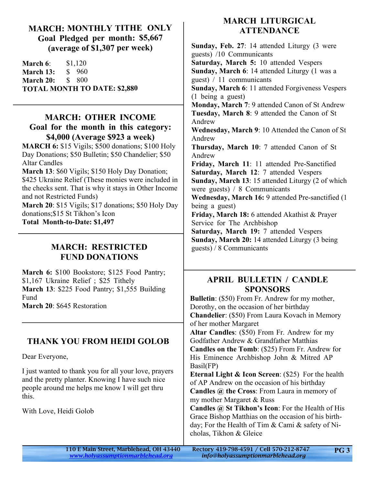#### **MARCH: MONTHLY TITHE ONLY Goal Pledged per month: \$5,667 (average of \$1,307 per week)**

**March 6:** \$1,120 **March 13:** \$ 960 **March 20:** \$ 800 **TOTAL MONTH TO DATE: \$2,880**

#### **MARCH: OTHER INCOME Goal for the month in this category: \$4,000 (Average \$923 a week)**

**MARCH 6:** \$15 Vigils; \$500 donations; \$100 Holy Day Donations; \$50 Bulletin; \$50 Chandelier; \$50 Altar Candles

**March 13**: \$60 Vigils; \$150 Holy Day Donation; \$425 Ukraine Relief (These monies were included in the checks sent. That is why it stays in Other Income and not Restricted Funds)

**March 20**: \$15 Vigils; \$17 donations; \$50 Holy Day donations;\$15 St Tikhon's Icon **Total Month-to-Date: \$1,497**

#### **MARCH: RESTRICTED FUND DONATIONS**

**March 6:** \$100 Bookstore; \$125 Food Pantry; \$1,167 Ukraine Relief ; \$25 Tithely **March 13**: \$225 Food Pantry; \$1,555 Building Fund **March 20**: \$645 Restoration

# **THANK YOU FROM HEIDI GOLOB**

Dear Everyone,

I just wanted to thank you for all your love, prayers and the pretty planter. Knowing I have such nice people around me helps me know I will get thru this.

With Love, Heidi Golob

# **MARCH LITURGICAL ATTENDANCE**

**Sunday, Feb. 27**: 14 attended Liturgy (3 were guests) /10 Communicants **Saturday, March 5:** 10 attended Vespers **Sunday, March 6**: 14 attended Liturgy (1 was a guest) / 11 communicants **Sunday, March 6**: 11 attended Forgiveness Vespers (1 being a guest) **Monday, March 7**: 9 attended Canon of St Andrew **Tuesday, March 8**: 9 attended the Canon of St Andrew **Wednesday, March 9**: 10 Attended the Canon of St Andrew **Thursday, March 10**: 7 attended Canon of St Andrew **Friday, March 11**: 11 attended Pre-Sanctified **Saturday, March 12**: 7 attended Vespers **Sunday, March 13**: 15 attended Liturgy (2 of which were guests) / 8 Communicants **Wednesday, March 16:** 9 attended Pre-sanctified (1 being a guest) **Friday, March 18:** 6 attended Akathist & Prayer Service for The Archbishop **Saturday, March 19:** 7 attended Vespers **Sunday, March 20:** 14 attended Liturgy (3 being guests) / 8 Communicants

# **APRIL BULLETIN / CANDLE SPONSORS**

**Bulletin**: (\$50) From Fr. Andrew for my mother, Dorothy, on the occasion of her birthday **Chandelier**: (\$50) From Laura Kovach in Memory of her mother Margaret **Altar Candles**: (\$50) From Fr. Andrew for my Godfather Andrew & Grandfather Matthias **Candles on the Tomb**: (\$25) From Fr. Andrew for His Eminence Archbishop John & Mitred AP Basil(FP) **Eternal Light & Icon Screen**: (\$25) For the health of AP Andrew on the occasion of his birthday **Candles @ the Cross**: From Laura in memory of my mother Margaret & Russ **Candles @ St Tikhon's Icon**: For the Health of His Grace Bishop Matthias on the occasion of his birthday; For the Health of Tim & Cami & safety of Nicholas, Tikhon & Gleice

| 110 E Main Street, Marblehead, OH 43440 | Rectory 419-798-4591 / Cell 570-212-8747 | <b>PG3</b> |
|-----------------------------------------|------------------------------------------|------------|
| www.holyassumptionmarblehead.org        | info@holyassumptionmarblehead.org        |            |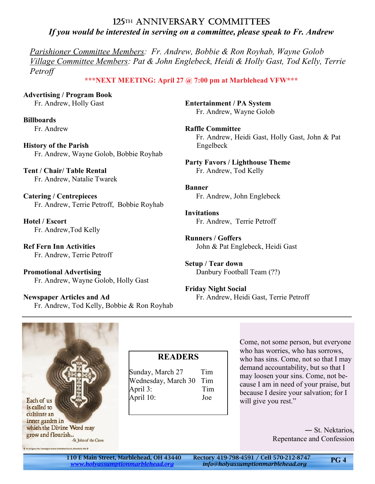#### 125TH ANNIVERSARY COMMITTEES *If you would be interested in serving on a committee, please speak to Fr. Andrew*

*Parishioner Committee Members: Fr. Andrew, Bobbie & Ron Royhab, Wayne Golob Village Committee Members: Pat & John Englebeck, Heidi & Holly Gast, Tod Kelly, Terrie Petroff*

#### **\*\*\*NEXT MEETING: April 27 @ 7:00 pm at Marblehead VFW\*\*\***

**Advertising / Program Book** Fr. Andrew, Holly Gast

**Billboards** Fr. Andrew

**History of the Parish** Fr. Andrew, Wayne Golob, Bobbie Royhab

**Tent / Chair/ Table Rental** Fr. Andrew, Natalie Twarek

**Catering / Centrepieces** Fr. Andrew, Terrie Petroff, Bobbie Royhab

**Hotel / Escort** Fr. Andrew,Tod Kelly

**Ref Fern Inn Activities** Fr. Andrew, Terrie Petroff

**Promotional Advertising** Fr. Andrew, Wayne Golob, Holly Gast

**Newspaper Articles and Ad** Fr. Andrew, Tod Kelly, Bobbie & Ron Royhab **Entertainment / PA System** Fr. Andrew, Wayne Golob

**Raffle Committee** Fr. Andrew, Heidi Gast, Holly Gast, John & Pat Engelbeck

**Party Favors / Lighthouse Theme** Fr. Andrew, Tod Kelly

**Banner** Fr. Andrew, John Englebeck

**Invitations** Fr. Andrew, Terrie Petroff

**Runners / Goffers** John & Pat Englebeck, Heidi Gast

**Setup / Tear down** Danbury Football Team (??)

**Friday Night Social** Fr. Andrew, Heidi Gast, Terrie Petroff



# **READERS**

Sunday, March 27 Tim Wednesday, March 30 Tim April 3: Tim April 10: Joe

Come, not some person, but everyone who has worries, who has sorrows, who has sins. Come, not so that I may demand accountability, but so that I may loosen your sins. Come, not because I am in need of your praise, but because I desire your salvation; for I will give you rest."

> ― St. Nektarios, Repentance and Confession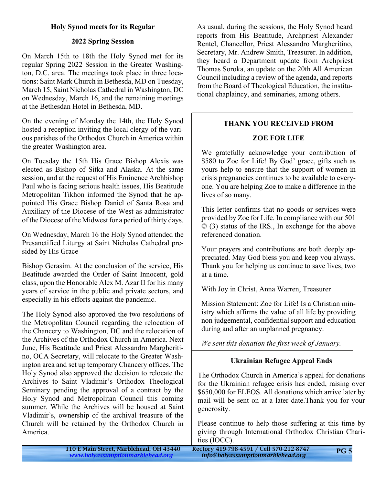#### **Holy Synod meets for its Regular**

#### **2022 Spring Session**

On March 15th to 18th the Holy Synod met for its regular Spring 2022 Session in the Greater Washington, D.C. area. The meetings took place in three locations: Saint Mark Church in Bethesda, MD on Tuesday, March 15, Saint Nicholas Cathedral in Washington, DC on Wednesday, March 16, and the remaining meetings at the Bethesdan Hotel in Bethesda, MD.

On the evening of Monday the 14th, the Holy Synod hosted a reception inviting the local clergy of the various parishes of the Orthodox Church in America within the greater Washington area.

On Tuesday the 15th His Grace Bishop Alexis was elected as Bishop of Sitka and Alaska. At the same session, and at the request of His Eminence Archbishop Paul who is facing serious health issues, His Beatitude Metropolitan Tikhon informed the Synod that he appointed His Grace Bishop Daniel of Santa Rosa and Auxiliary of the Diocese of the West as administrator of the Diocese of the Midwest for a period of thirty days.

On Wednesday, March 16 the Holy Synod attended the Presanctified Liturgy at Saint Nicholas Cathedral presided by His Grace

Bishop Gerasim. At the conclusion of the service, His Beatitude awarded the Order of Saint Innocent, gold class, upon the Honorable Alex M. Azar II for his many years of service in the public and private sectors, and especially in his efforts against the pandemic.

The Holy Synod also approved the two resolutions of the Metropolitan Council regarding the relocation of the Chancery to Washington, DC and the relocation of the Archives of the Orthodox Church in America. Next June, His Beatitude and Priest Alessandro Margheritino, OCA Secretary, will relocate to the Greater Washington area and set up temporary Chancery offices. The Holy Synod also approved the decision to relocate the Archives to Saint Vladimir's Orthodox Theological Seminary pending the approval of a contract by the Holy Synod and Metropolitan Council this coming summer. While the Archives will be housed at Saint Vladimir's, ownership of the archival treasure of the Church will be retained by the Orthodox Church in America.

As usual, during the sessions, the Holy Synod heard reports from His Beatitude, Archpriest Alexander Rentel, Chancellor, Priest Alessandro Margheritino, Secretary, Mr. Andrew Smith, Treasurer. In addition, they heard a Department update from Archpriest Thomas Soroka, an update on the 20th All American Council including a review of the agenda, and reports from the Board of Theological Education, the institutional chaplaincy, and seminaries, among others.

#### **THANK YOU RECEIVED FROM**

#### **ZOE FOR LIFE**

We gratefully acknowledge your contribution of \$580 to Zoe for Life! By God' grace, gifts such as yours help to ensure that the support of women in crisis pregnancies continues to be available to everyone. You are helping Zoe to make a difference in the lives of so many.

This letter confirms that no goods or services were provided by Zoe for Life. In compliance with our 501 © (3) status of the IRS., In exchange for the above referenced donation.

Your prayers and contributions are both deeply appreciated. May God bless you and keep you always. Thank you for helping us continue to save lives, two at a time.

With Joy in Christ, Anna Warren, Treasurer

Mission Statement: Zoe for Life! Is a Christian ministry which affirms the value of all life by providing non judgemental, confidential support and education during and after an unplanned pregnancy.

*We sent this donation the first week of January.*

#### **Ukrainian Refugee Appeal Ends**

The Orthodox Church in America's appeal for donations for the Ukrainian refugee crisis has ended, raising over \$650,000 for ELEOS. All donations which arrive later by mail will be sent on at a later date.Thank you for your generosity.

Please continue to help those suffering at this time by giving through International Orthodox Christian Charities (IOCC).

110 E Main Street, Marblehead, OH 43440 Rectory 419-798-4591 / Cell 570-212-8747 *<www.holyassumptionmarblehead.org> info@holyassumptionmarblehead.org* **PG 5**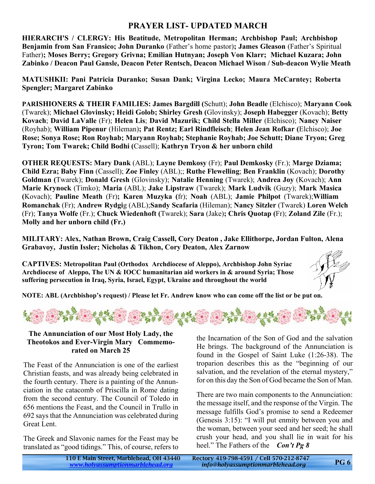# **PRAYER LIST- UPDATED MARCH**

**HIERARCH'S / CLERGY: His Beatitude, Metropolitan Herman; Archbishop Paul; Archbishop Benjamin from San Fransico; John Duranko** (Father's home pastor)**; James Gleason** (Father's Spiritual Father)**; Moses Berry; Gregory Grivna; Emilian Hutnyan; Joseph Von Klarr; Michael Kuzara; John Zabinko / Deacon Paul Gansle, Deacon Peter Rentsch, Deacon Michael Wison / Sub-deacon Wylie Meath**

**MATUSHKII: Pani Patricia Duranko; Susan Dank; Virgina Lecko; Maura McCarntey; Roberta Spengler; Margaret Zabinko**

**PARISHIONERS & THEIR FAMILIES: James Bargdill (**Schutt); **John Beadle** (Elchisco); **Maryann Cook** (Twarek); **Michael Glovinsky; Heidi Golob; Shirley Gresh (**Glovinsky); **Joseph Habegger** (Kovach); **Betty Kovach**; **David LaValle** (Fr); **Helen Lis**; **David Mazurik; Child Stella Miller** (Elchisco); **Nancy Naiser** (Royhab); **William Pipenur** (Hileman)**; Pat Rentz; Earl Rindfleisch**; **Helen Jean Rofkar (**Elchisco); **Joe Rose; Sonya Rose; Ron Royhab; Maryann Royhab; Stephanie Royhab; Joe Schutt; Diane Tryon; Greg Tyron; Tom Twarek; Child Bodhi (**Cassell); **Kathryn Tryon & her unborn child**

**OTHER REQUESTS: Mary Dank** (ABL); **Layne Demkosy** (Fr); **Paul Demkosky** (Fr.); **Marge Dziama; Child Ezra; Baby Finn** (Cassell); **Zoe Finley** (ABL);; **Ruthe Flewelling**; **Ben Franklin** (Kovach); **Dorothy Goldman (**Twarek); **Donald Gresh** (Glovinsky); **Natalie Henning** (Twarek); **Andrea Joy** (Kovach); **Ann Marie Krynock** (Timko); **Maria** (ABL); **Jake Lipstraw** (Twarek); **Mark Ludvik** (Guzy); **Mark Masica (**Kovach); **Pauline Meath** (Fr)**; Karen Muzyka (**fr); **Noah** (ABL); **Jamie Philpot** (Twarek);**William Romanchak** (Fr); **Andrew Rydgi**g (ABL);**Sandy Scafaria** (Hileman); **Nancy Sitzler** (Twarek) **Loren Welch** (Fr); **Tanya Wolfe** (Fr.); **Chuck Wiedenhoft (**Twarek); **Sara** (Jake)**; Chris Quotap (**Fr); **Zoland Zile** (Fr.); **Molly and her unborn child (Fr.)**

**MILITARY: Alex, Nathan Brown, Craig Cassell, Cory Deaton , Jake Ellithorpe, Jordan Fulton, Alena Grabavoy, Justin Issler; Nicholas & Tikhon, Cory Deaton, Alex Zarnow**

**CAPTIVES: Metropolitan Paul (Orthodox Archdiocese of Aleppo), Archbishop John Syriac Archdiocese of Aleppo, The UN & IOCC humanitarian aid workers in & around Syria; Those suffering persecution in Iraq, Syria, Israel, Egypt, Ukraine and throughout the world**



**NOTE: ABL (Archbishop's request) / Please let Fr. Andrew know who can come off the list or be put on.**



#### **The Annunciation of our Most Holy Lady, the Theotokos and Ever-Virgin Mary Commemorated on March 25**

The Feast of the Annunciation is one of the earliest Christian feasts, and was already being celebrated in the fourth century. There is a painting of the Annunciation in the catacomb of Priscilla in Rome dating from the second century. The Council of Toledo in 656 mentions the Feast, and the Council in Trullo in 692 says that the Annunciation was celebrated during Great Lent.

The Greek and Slavonic names for the Feast may be translated as "good tidings." This, of course, refers to

the Incarnation of the Son of God and the salvation He brings. The background of the Annunciation is found in the Gospel of Saint Luke (1:26-38). The troparion describes this as the "beginning of our salvation, and the revelation of the eternal mystery," for on this day the Son of God became the Son of Man.

There are two main components to the Annunciation: the message itself, and the response of the Virgin. The message fulfills God's promise to send a Redeemer (Genesis 3:15): "I will put enmity between you and the woman, between your seed and her seed; he shall crush your head, and you shall lie in wait for his heel." The Fathers of the *Con't Pg 8*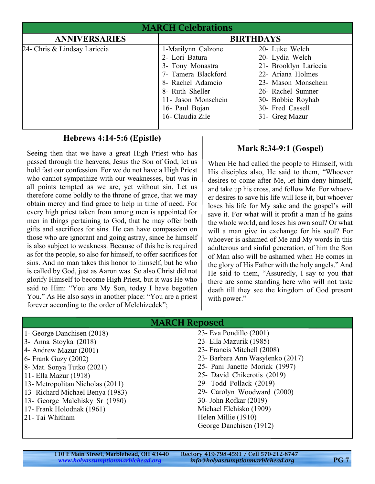| <b>MARCH Celebrations</b>    |                                                                                                                                                                                      |                                                                                                                                                                                        |  |
|------------------------------|--------------------------------------------------------------------------------------------------------------------------------------------------------------------------------------|----------------------------------------------------------------------------------------------------------------------------------------------------------------------------------------|--|
| <b>ANNIVERSARIES</b>         | <b>BIRTHDAYS</b>                                                                                                                                                                     |                                                                                                                                                                                        |  |
| 24- Chris & Lindsay Lariccia | 1-Marilynn Calzone<br>2- Lori Batura<br>3- Tony Monastra<br>7- Tamera Blackford<br>8- Rachel Adamcio<br>8- Ruth Sheller<br>11- Jason Monschein<br>16- Paul Bojan<br>16- Claudia Zile | 20- Luke Welch<br>20- Lydia Welch<br>21- Brooklyn Lariccia<br>22- Ariana Holmes<br>23- Mason Monschein<br>26- Rachel Sumner<br>30- Bobbie Royhab<br>30- Fred Cassell<br>31- Greg Mazur |  |

#### **Hebrews 4:14-5:6 (Epistle)**

Seeing then that we have a great High Priest who has passed through the heavens, Jesus the Son of God, let us hold fast our confession. For we do not have a High Priest who cannot sympathize with our weaknesses, but was in all points tempted as we are, yet without sin. Let us therefore come boldly to the throne of grace, that we may obtain mercy and find grace to help in time of need. For every high priest taken from among men is appointed for men in things pertaining to God, that he may offer both gifts and sacrifices for sins. He can have compassion on those who are ignorant and going astray, since he himself is also subject to weakness. Because of this he is required as for the people, so also for himself, to offer sacrifices for sins. And no man takes this honor to himself, but he who is called by God, just as Aaron was. So also Christ did not glorify Himself to become High Priest, but it was He who said to Him: "You are My Son, today I have begotten You." As He also says in another place: "You are a priest forever according to the order of Melchizedek";

#### **Mark 8:34-9:1 (Gospel)**

When He had called the people to Himself, with His disciples also, He said to them, "Whoever desires to come after Me, let him deny himself, and take up his cross, and follow Me. For whoever desires to save his life will lose it, but whoever loses his life for My sake and the gospel's will save it. For what will it profit a man if he gains the whole world, and loses his own soul? Or what will a man give in exchange for his soul? For whoever is ashamed of Me and My words in this adulterous and sinful generation, of him the Son of Man also will be ashamed when He comes in the glory of His Father with the holy angels." And He said to them, "Assuredly, I say to you that there are some standing here who will not taste death till they see the kingdom of God present with power."

| <b>MARCH Reposed</b>                   |                                  |  |
|----------------------------------------|----------------------------------|--|
| 1- George Danchisen (2018)             | 23- Eva Pondillo (2001)          |  |
| 3- Anna Stoyka (2018)                  | 23 - Ella Mazurik (1985)         |  |
| 4- Andrew Mazur (2001)                 | 23- Francis Mitchell (2008)      |  |
| $6$ - Frank Guzy (2002)                | 23- Barbara Ann Wasylenko (2017) |  |
| 8- Mat. Sonya Tutko (2021)             | 25- Pani Janette Moriak (1997)   |  |
| 11 - Ella Mazur (1918)                 | 25- David Chikerotis (2019)      |  |
| 13- Metropolitan Nicholas (2011)       | 29- Todd Pollack (2019)          |  |
| 13- Richard Michael Benya (1983)       | 29- Carolyn Woodward (2000)      |  |
| 13- George Malchisky Sr (1980)         | 30- John Rofkar (2019)           |  |
| 17- Frank Holodnak (1961)              | Michael Elchisko (1909)          |  |
| Helen Millie (1910)<br>21- Tai Whitham |                                  |  |
|                                        | George Danchisen (1912)          |  |